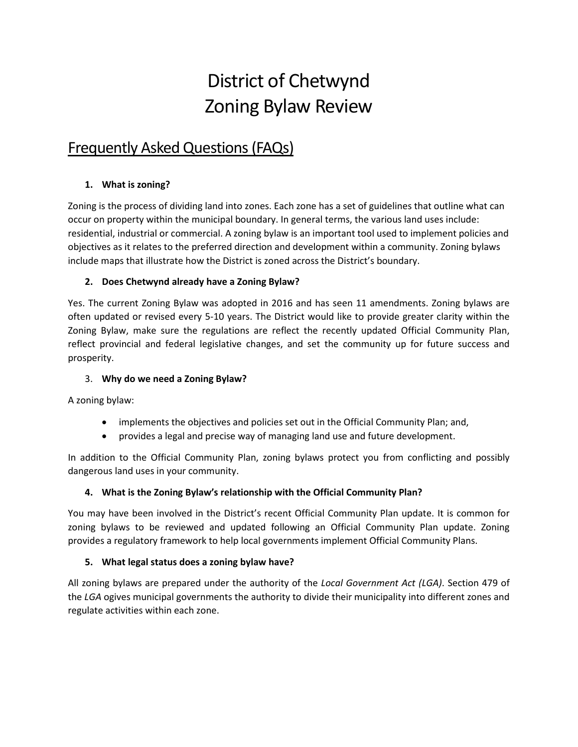# District of Chetwynd Zoning Bylaw Review

# Frequently Asked Questions (FAQs)

# **1. What is zoning?**

Zoning is the process of dividing land into zones. Each zone has a set of guidelines that outline what can occur on property within the municipal boundary. In general terms, the various land uses include: residential, industrial or commercial. A zoning bylaw is an important tool used to implement policies and objectives as it relates to the preferred direction and development within a community. Zoning bylaws include maps that illustrate how the District is zoned across the District's boundary.

# **2. Does Chetwynd already have a Zoning Bylaw?**

Yes. The current Zoning Bylaw was adopted in 2016 and has seen 11 amendments. Zoning bylaws are often updated or revised every 5-10 years. The District would like to provide greater clarity within the Zoning Bylaw, make sure the regulations are reflect the recently updated Official Community Plan, reflect provincial and federal legislative changes, and set the community up for future success and prosperity.

### 3. **Why do we need a Zoning Bylaw?**

A zoning bylaw:

- implements the objectives and policies set out in the Official Community Plan; and,
- provides a legal and precise way of managing land use and future development.

In addition to the Official Community Plan, zoning bylaws protect you from conflicting and possibly dangerous land uses in your community.

# **4. What is the Zoning Bylaw's relationship with the Official Community Plan?**

You may have been involved in the District's recent Official Community Plan update. It is common for zoning bylaws to be reviewed and updated following an Official Community Plan update. Zoning provides a regulatory framework to help local governments implement Official Community Plans.

# **5. What legal status does a zoning bylaw have?**

All zoning bylaws are prepared under the authority of the *Local Government Act (LGA)*. Section 479 of the *LGA* ogives municipal governments the authority to divide their municipality into different zones and regulate activities within each zone.